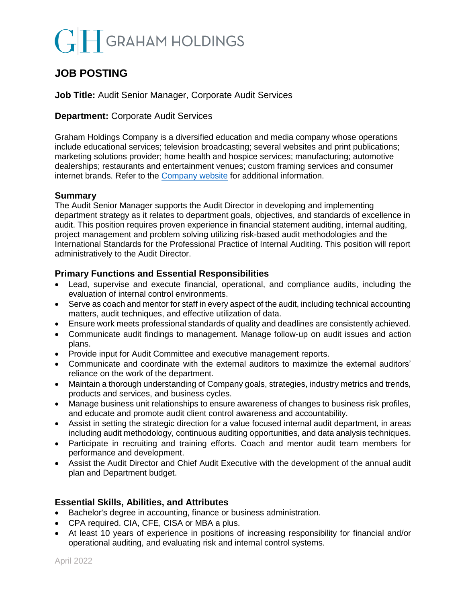# **GRAHAM HOLDINGS**

# **JOB POSTING**

**Job Title:** Audit Senior Manager, Corporate Audit Services

## **Department:** Corporate Audit Services

Graham Holdings Company is a diversified education and media company whose operations include educational services; television broadcasting; several websites and print publications; marketing solutions provider; home health and hospice services; manufacturing; automotive dealerships; restaurants and entertainment venues; custom framing services and consumer internet brands. Refer to the [Company website](mailto:https://www.ghco.com/) for additional information.

### **Summary**

The Audit Senior Manager supports the Audit Director in developing and implementing department strategy as it relates to department goals, objectives, and standards of excellence in audit. This position requires proven experience in financial statement auditing, internal auditing, project management and problem solving utilizing risk-based audit methodologies and the International Standards for the Professional Practice of Internal Auditing. This position will report administratively to the Audit Director.

### **Primary Functions and Essential Responsibilities**

- Lead, supervise and execute financial, operational, and compliance audits, including the evaluation of internal control environments.
- Serve as coach and mentor for staff in every aspect of the audit, including technical accounting matters, audit techniques, and effective utilization of data.
- Ensure work meets professional standards of quality and deadlines are consistently achieved.
- Communicate audit findings to management. Manage follow-up on audit issues and action plans.
- Provide input for Audit Committee and executive management reports.
- Communicate and coordinate with the external auditors to maximize the external auditors' reliance on the work of the department.
- Maintain a thorough understanding of Company goals, strategies, industry metrics and trends, products and services, and business cycles.
- Manage business unit relationships to ensure awareness of changes to business risk profiles, and educate and promote audit client control awareness and accountability.
- Assist in setting the strategic direction for a value focused internal audit department, in areas including audit methodology, continuous auditing opportunities, and data analysis techniques.
- Participate in recruiting and training efforts. Coach and mentor audit team members for performance and development.
- Assist the Audit Director and Chief Audit Executive with the development of the annual audit plan and Department budget.

### **Essential Skills, Abilities, and Attributes**

- Bachelor's degree in accounting, finance or business administration.
- CPA required. CIA, CFE, CISA or MBA a plus.
- At least 10 years of experience in positions of increasing responsibility for financial and/or operational auditing, and evaluating risk and internal control systems.